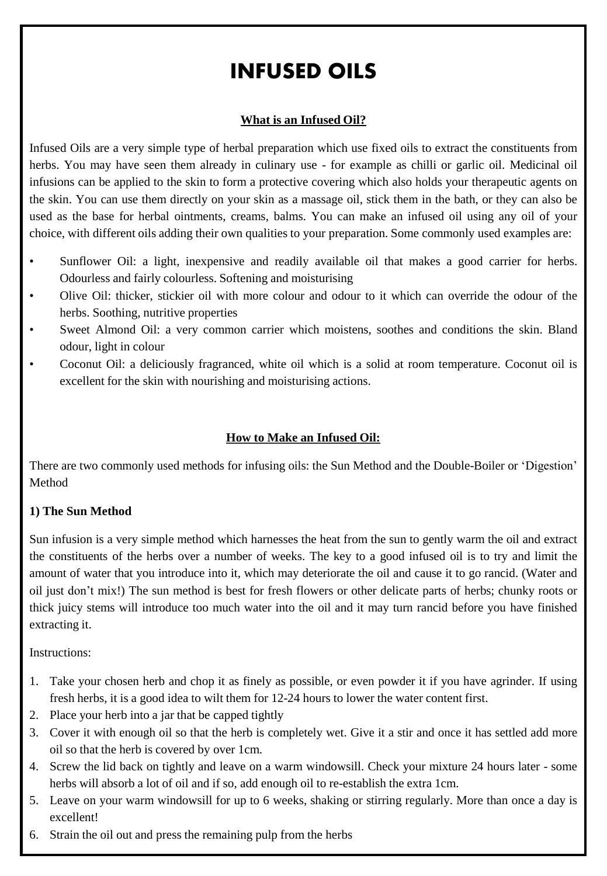# INFUSED OILS

### **What is an Infused Oil?**

Infused Oils are a very simple type of herbal preparation which use fixed oils to extract the constituents from herbs. You may have seen them already in culinary use - for example as chilli or garlic oil. Medicinal oil infusions can be applied to the skin to form a protective covering which also holds your therapeutic agents on the skin. You can use them directly on your skin as a massage oil, stick them in the bath, or they can also be used as the base for herbal ointments, creams, balms. You can make an infused oil using any oil of your choice, with different oils adding their own qualities to your preparation. Some commonly used examples are:

- Sunflower Oil: a light, inexpensive and readily available oil that makes a good carrier for herbs. Odourless and fairly colourless. Softening and moisturising
- Olive Oil: thicker, stickier oil with more colour and odour to it which can override the odour of the herbs. Soothing, nutritive properties
- Sweet Almond Oil: a very common carrier which moistens, soothes and conditions the skin. Bland odour, light in colour
- Coconut Oil: a deliciously fragranced, white oil which is a solid at room temperature. Coconut oil is excellent for the skin with nourishing and moisturising actions.

#### **How to Make an Infused Oil:**

There are two commonly used methods for infusing oils: the Sun Method and the Double-Boiler or 'Digestion' Method

#### **1) The Sun Method**

Sun infusion is a very simple method which harnesses the heat from the sun to gently warm the oil and extract the constituents of the herbs over a number of weeks. The key to a good infused oil is to try and limit the amount of water that you introduce into it, which may deteriorate the oil and cause it to go rancid. (Water and oil just don't mix!) The sun method is best for fresh flowers or other delicate parts of herbs; chunky roots or thick juicy stems will introduce too much water into the oil and it may turn rancid before you have finished extracting it.

Instructions:

- 1. Take your chosen herb and chop it as finely as possible, or even powder it if you have agrinder. If using fresh herbs, it is a good idea to wilt them for 12-24 hours to lower the water content first.
- 2. Place your herb into a jar that be capped tightly
- 3. Cover it with enough oil so that the herb is completely wet. Give it a stir and once it has settled add more oil so that the herb is covered by over 1cm.
- 4. Screw the lid back on tightly and leave on a warm windowsill. Check your mixture 24 hours later some herbs will absorb a lot of oil and if so, add enough oil to re-establish the extra 1cm.
- 5. Leave on your warm windowsill for up to 6 weeks, shaking or stirring regularly. More than once a day is excellent!
- 6. Strain the oil out and press the remaining pulp from the herbs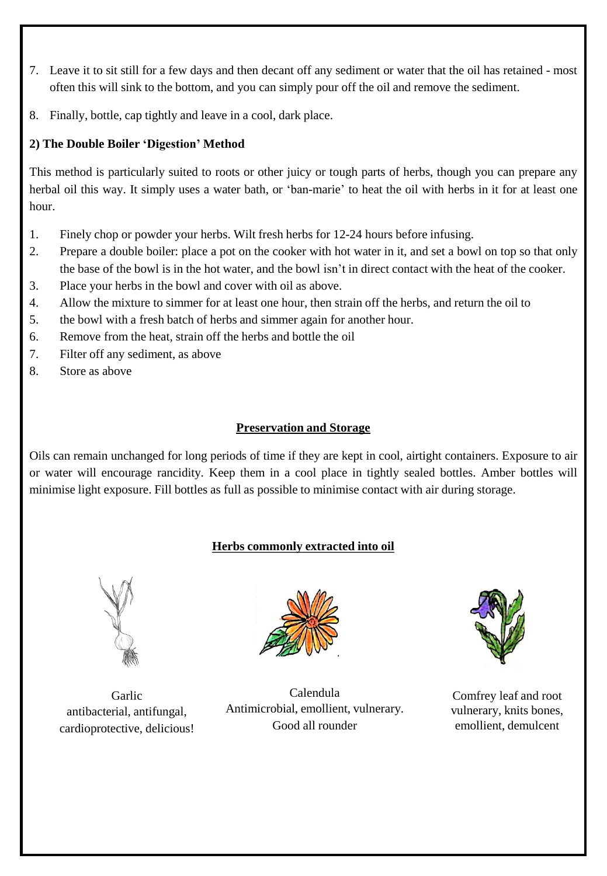- 7. Leave it to sit still for a few days and then decant off any sediment or water that the oil has retained most often this will sink to the bottom, and you can simply pour off the oil and remove the sediment.
- 8. Finally, bottle, cap tightly and leave in a cool, dark place.

## **2) The Double Boiler 'Digestion' Method**

This method is particularly suited to roots or other juicy or tough parts of herbs, though you can prepare any herbal oil this way. It simply uses a water bath, or 'ban-marie' to heat the oil with herbs in it for at least one hour.

- 1. Finely chop or powder your herbs. Wilt fresh herbs for 12-24 hours before infusing.
- 2. Prepare a double boiler: place a pot on the cooker with hot water in it, and set a bowl on top so that only the base of the bowl is in the hot water, and the bowl isn't in direct contact with the heat of the cooker.
- 3. Place your herbs in the bowl and cover with oil as above.
- 4. Allow the mixture to simmer for at least one hour, then strain off the herbs, and return the oil to
- 5. the bowl with a fresh batch of herbs and simmer again for another hour.
- 6. Remove from the heat, strain off the herbs and bottle the oil
- 7. Filter off any sediment, as above
- 8. Store as above

## **Preservation and Storage**

Oils can remain unchanged for long periods of time if they are kept in cool, airtight containers. Exposure to air or water will encourage rancidity. Keep them in a cool place in tightly sealed bottles. Amber bottles will minimise light exposure. Fill bottles as full as possible to minimise contact with air during storage.

# **Herbs commonly extracted into oil**



Garlic antibacterial, antifungal, cardioprotective, delicious!



Calendula Antimicrobial, emollient, vulnerary. Good all rounder



Comfrey leaf and root vulnerary, knits bones, emollient, demulcent